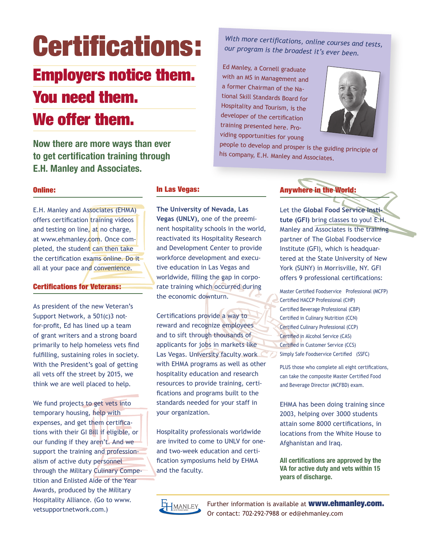# Certifications:

# Employers notice them.

# You need them. We offer them.

**Now there are more ways than ever to get certification training through E.H. Manley and Associates.**

*With more certifications, online courses and tests, our program is the broadest it's ever been.* 

Ed Manley, a Cornell graduate with an MS in Management and a former Chairman of the National Skill Standards Board for Hospitality and Tourism, is the developer of the certification training presented here. Providing opportunities for young



people to develop and prosper is the guiding principle of his company, E.H. Manley and Associates.

#### Online:

E.H. Manley and Associates (EHMA) offers certification training videos and testing on line, at no charge, at www.ehmanley.com. Once completed, the student can then take the certification exams online. Do it all at your pace and convenience.

#### Certifications for Veterans:

As president of the new Veteran's Support Network, a 501(c)3 notfor-profit, Ed has lined up a team of grant writers and a strong board primarily to help homeless vets find fulfilling, sustaining roles in society. With the President's goal of getting all vets off the street by 2015, we think we are well placed to help.

We fund projects to get vets into temporary housing, help with expenses, and get them certifications with their GI Bill if eligible, or our funding if they aren't. And we support the training and professionalism of active duty personnel through the Military Culinary Competition and Enlisted Aide of the Year Awards, produced by the Military Hospitality Alliance. (Go to www. vetsupportnetwork.com.)

#### In Las Vegas:

**The University of Nevada, Las Vegas (UNLV),** one of the preeminent hospitality schools in the world, reactivated its Hospitality Research and Development Center to provide workforce development and executive education in Las Vegas and worldwide, filling the gap in corporate training which occurred during the economic downturn.

Certifications provide a way to reward and recognize employees and to sift through thousands of applicants for jobs in markets like Las Vegas. University faculty work with EHMA programs as well as other hospitality education and research resources to provide training, certifications and programs built to the standards needed for your staff in your organization.

Hospitality professionals worldwide are invited to come to UNLV for oneand two-week education and certification symposiums held by EHMA and the faculty.

#### Anywhere in the World:

Let the **Global Food Service Institute (GFI)** bring classes to you! E.H. Manley and Associates is the training partner of The Global Foodservice Institute (GFI), which is headquartered at the State University of New York (SUNY) in Morrisville, NY. GFI offers 9 professional certifications:

Master Certified Foodservice Professional (MCFP) Certified HACCP Professional (CHP) Certified Beverage Professional (CBP) Certified in Culinary Nutrition (CCN) Certified Culinary Professional (CCP) Certified in Alcohol Service (CAS) Certified in Customer Service (CCS) Simply Safe Foodservice Certified (SSFC)

PLUS those who complete all eight certifications, can take the composite Master Certified Food and Beverage Director (MCFBD) exam.

EHMA has been doing training since 2003, helping over 3000 students attain some 8000 certifications, in locations from the White House to Afghanistan and Iraq.

**All certifications are approved by the VA for active duty and vets within 15 years of discharge.**



Further information is available at **www.ehmanley.com.** Or contact: 702-292-7988 or ed@ehmanley.com